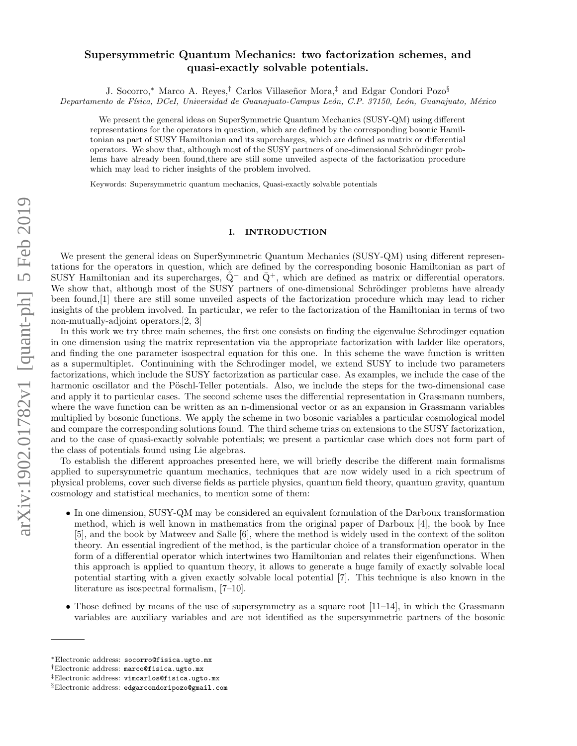# Supersymmetric Quantum Mechanics: two factorization schemes, and quasi-exactly solvable potentials.

J. Socorro,\* Marco A. Reyes,<sup>†</sup> Carlos Villaseñor Mora,<sup>‡</sup> and Edgar Condori Pozo<sup>§</sup> Departamento de Física, DCeI, Universidad de Guanajuato-Campus León, C.P. 37150, León, Guanajuato, México

We present the general ideas on SuperSymmetric Quantum Mechanics (SUSY-QM) using different representations for the operators in question, which are defined by the corresponding bosonic Hamiltonian as part of SUSY Hamiltonian and its supercharges, which are defined as matrix or differential operators. We show that, although most of the SUSY partners of one-dimensional Schrödinger problems have already been found,there are still some unveiled aspects of the factorization procedure which may lead to richer insights of the problem involved.

Keywords: Supersymmetric quantum mechanics, Quasi-exactly solvable potentials

## I. INTRODUCTION

We present the general ideas on SuperSymmetric Quantum Mechanics (SUSY-QM) using different representations for the operators in question, which are defined by the corresponding bosonic Hamiltonian as part of SUSY Hamiltonian and its supercharges,  $\dot{Q}^-$  and  $\bar{Q}^+$ , which are defined as matrix or differential operators. We show that, although most of the SUSY partners of one-dimensional Schrödinger problems have already been found,[1] there are still some unveiled aspects of the factorization procedure which may lead to richer insights of the problem involved. In particular, we refer to the factorization of the Hamiltonian in terms of two non-mutually-adjoint operators.[2, 3]

In this work we try three main schemes, the first one consists on finding the eigenvalue Schrodinger equation in one dimension using the matrix representation via the appropriate factorization with ladder like operators, and finding the one parameter isospectral equation for this one. In this scheme the wave function is written as a supermultiplet. Continuining with the Schrodinger model, we extend SUSY to include two parameters factorizations, which include the SUSY factorization as particular case. As examples, we include the case of the harmonic oscillator and the Pöschl-Teller potentials. Also, we include the steps for the two-dimensional case and apply it to particular cases. The second scheme uses the differential representation in Grassmann numbers, where the wave function can be written as an n-dimensional vector or as an expansion in Grassmann variables multiplied by bosonic functions. We apply the scheme in two bosonic variables a particular cosmological model and compare the corresponding solutions found. The third scheme trias on extensions to the SUSY factorization, and to the case of quasi-exactly solvable potentials; we present a particular case which does not form part of the class of potentials found using Lie algebras.

To establish the different approaches presented here, we will briefly describe the different main formalisms applied to supersymmetric quantum mechanics, techniques that are now widely used in a rich spectrum of physical problems, cover such diverse fields as particle physics, quantum field theory, quantum gravity, quantum cosmology and statistical mechanics, to mention some of them:

- In one dimension, SUSY-QM may be considered an equivalent formulation of the Darboux transformation method, which is well known in mathematics from the original paper of Darboux [4], the book by Ince [5], and the book by Matweev and Salle [6], where the method is widely used in the context of the soliton theory. An essential ingredient of the method, is the particular choice of a transformation operator in the form of a differential operator which intertwines two Hamiltonian and relates their eigenfunctions. When this approach is applied to quantum theory, it allows to generate a huge family of exactly solvable local potential starting with a given exactly solvable local potential [7]. This technique is also known in the literature as isospectral formalism, [7–10].
- Those defined by means of the use of supersymmetry as a square root  $[11-14]$ , in which the Grassmann variables are auxiliary variables and are not identified as the supersymmetric partners of the bosonic

<sup>∗</sup>Electronic address: socorro@fisica.ugto.mx

<sup>†</sup>Electronic address: marco@fisica.ugto.mx

<sup>‡</sup>Electronic address: vimcarlos@fisica.ugto.mx

<sup>§</sup>Electronic address: edgarcondoripozo@gmail.com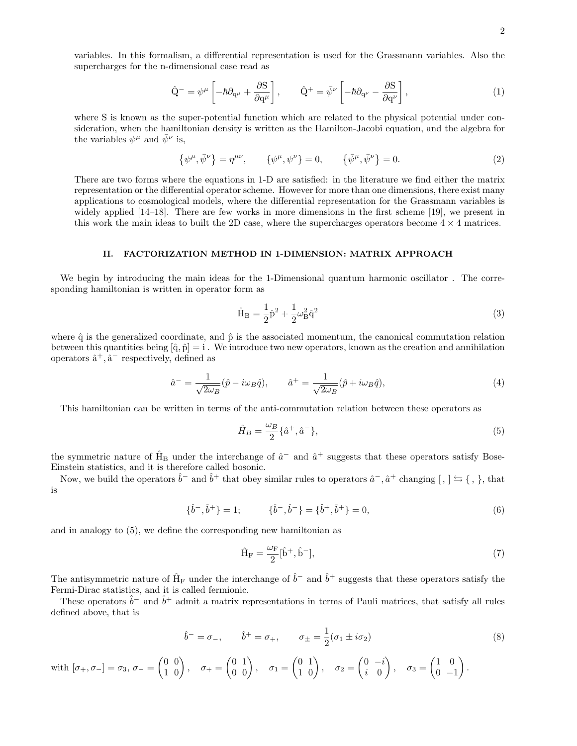variables. In this formalism, a differential representation is used for the Grassmann variables. Also the supercharges for the n-dimensional case read as

$$
\hat{\mathbf{Q}}^{-} = \psi^{\mu} \left[ -\hbar \partial_{\mathbf{q}^{\mu}} + \frac{\partial \mathbf{S}}{\partial \mathbf{q}^{\mu}} \right], \qquad \hat{\mathbf{Q}}^{+} = \bar{\psi}^{\nu} \left[ -\hbar \partial_{\mathbf{q}^{\nu}} - \frac{\partial \mathbf{S}}{\partial \mathbf{q}^{\nu}} \right], \tag{1}
$$

where S is known as the super-potential function which are related to the physical potential under consideration, when the hamiltonian density is written as the Hamilton-Jacobi equation, and the algebra for the variables  $\psi^{\mu}$  and  $\bar{\psi}^{\nu}$  is,

$$
\{\psi^{\mu}, \bar{\psi}^{\nu}\} = \eta^{\mu\nu}, \qquad \{\psi^{\mu}, \psi^{\nu}\} = 0, \qquad \{\bar{\psi}^{\mu}, \bar{\psi}^{\nu}\} = 0.
$$
 (2)

There are two forms where the equations in 1-D are satisfied: in the literature we find either the matrix representation or the differential operator scheme. However for more than one dimensions, there exist many applications to cosmological models, where the differential representation for the Grassmann variables is widely applied [14–18]. There are few works in more dimensions in the first scheme [19], we present in this work the main ideas to built the 2D case, where the supercharges operators become  $4 \times 4$  matrices.

### II. FACTORIZATION METHOD IN 1-DIMENSION: MATRIX APPROACH

We begin by introducing the main ideas for the 1-Dimensional quantum harmonic oscillator. The corresponding hamiltonian is written in operator form as

$$
\hat{H}_{B} = \frac{1}{2}\hat{p}^{2} + \frac{1}{2}\omega_{B}^{2}\hat{q}^{2}
$$
\n(3)

where  $\hat{q}$  is the generalized coordinate, and  $\hat{p}$  is the associated momentum, the canonical commutation relation between this quantities being  $[\hat{q}, \hat{p}] = i$ . We introduce two new operators, known as the creation and annihilation operators  $\hat{a}^+$ ,  $\hat{a}^-$  respectively, defined as

$$
\hat{a}^- = \frac{1}{\sqrt{2\omega_B}} (\hat{p} - i\omega_B \hat{q}), \qquad \hat{a}^+ = \frac{1}{\sqrt{2\omega_B}} (\hat{p} + i\omega_B \hat{q}), \tag{4}
$$

This hamiltonian can be written in terms of the anti-commutation relation between these operators as

$$
\hat{H}_B = \frac{\omega_B}{2} \{\hat{a}^+, \hat{a}^-\},\tag{5}
$$

the symmetric nature of  $\hat{H}_B$  under the interchange of  $\hat{a}^-$  and  $\hat{a}^+$  suggests that these operators satisfy Bose-Einstein statistics, and it is therefore called bosonic.

Now, we build the operators  $\hat{b}^-$  and  $\hat{b}^+$  that obey similar rules to operators  $\hat{a}^-$ ,  $\hat{a}^+$  changing  $[ , ] \leftrightarrows \{ , \}$ , that is

$$
\{\hat{b}^-,\hat{b}^+\}=1;\qquad \{\hat{b}^-,\hat{b}^-\}=\{\hat{b}^+,\hat{b}^+\}=0,\tag{6}
$$

and in analogy to (5), we define the corresponding new hamiltonian as

$$
\hat{H}_{F} = \frac{\omega_{F}}{2} [\hat{b}^{+}, \hat{b}^{-}], \qquad (7)
$$

The antisymmetric nature of  $\hat{H}_F$  under the interchange of  $\hat{b}^-$  and  $\hat{b}^+$  suggests that these operators satisfy the Fermi-Dirac statistics, and it is called fermionic.

These operators  $\hat{b}^-$  and  $\hat{b}^+$  admit a matrix representations in terms of Pauli matrices, that satisfy all rules defined above, that is

$$
\hat{b}^- = \sigma_-, \qquad \hat{b}^+ = \sigma_+, \qquad \sigma_{\pm} = \frac{1}{2} (\sigma_1 \pm i \sigma_2)
$$
\n(8)

 $\text{with } [\sigma_+,\sigma_-]=\sigma_3,\,\sigma_-=\begin{pmatrix} 0&0\1&0 \end{pmatrix},\quad \sigma_+=\begin{pmatrix} 0&1\0&0 \end{pmatrix},\quad \sigma_1=\begin{pmatrix} 0&1\1&0 \end{pmatrix},\quad \sigma_2=\begin{pmatrix} 0&-i\i&0 \end{pmatrix}$ i 0  $\sigma_3 = \begin{pmatrix} 1 & 0 \\ 0 & -1 \end{pmatrix}$  $0 -1$  $\big).$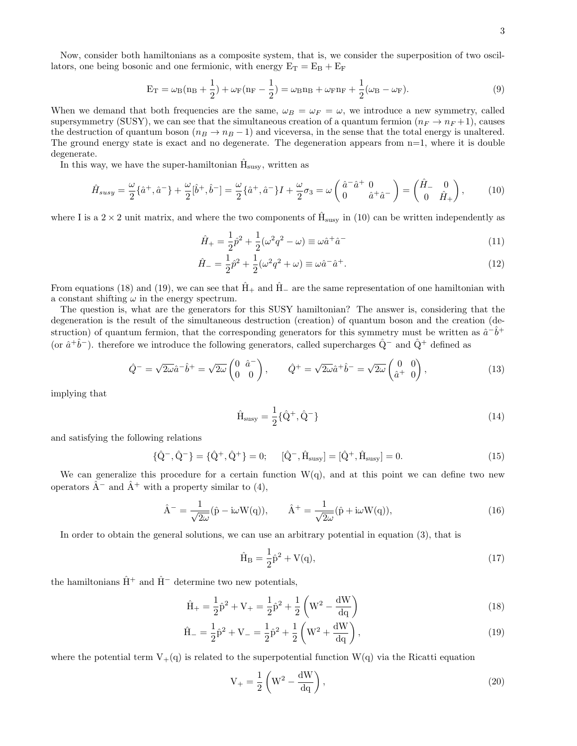Now, consider both hamiltonians as a composite system, that is, we consider the superposition of two oscillators, one being bosonic and one fermionic, with energy  $E_T = E_B + E_F$ 

$$
E_T = \omega_B (n_B + \frac{1}{2}) + \omega_F (n_F - \frac{1}{2}) = \omega_B n_B + \omega_F n_F + \frac{1}{2} (\omega_B - \omega_F).
$$
 (9)

When we demand that both frequencies are the same,  $\omega_B = \omega_F = \omega$ , we introduce a new symmetry, called supersymmetry (SUSY), we can see that the simultaneous creation of a quantum fermion  $(n_F \to n_F + 1)$ , causes the destruction of quantum boson ( $n_B \rightarrow n_B - 1$ ) and viceversa, in the sense that the total energy is unaltered. The ground energy state is exact and no degenerate. The degeneration appears from  $n=1$ , where it is double degenerate.

In this way, we have the super-hamiltonian  $\hat{H}_{susy}$ , written as

$$
\hat{H}_{susy} = \frac{\omega}{2} \{\hat{a}^+, \hat{a}^-\} + \frac{\omega}{2} [\hat{b}^+, \hat{b}^-] = \frac{\omega}{2} \{\hat{a}^+, \hat{a}^-\} I + \frac{\omega}{2} \sigma_3 = \omega \left(\begin{array}{cc} \hat{a}^- \hat{a}^+ & 0\\ 0 & \hat{a}^+ \hat{a}^- \end{array}\right) = \left(\begin{array}{cc} \hat{H}_- & 0\\ 0 & \hat{H}_+ \end{array}\right),\tag{10}
$$

where I is a  $2 \times 2$  unit matrix, and where the two components of  $\hat{H}_{susy}$  in (10) can be written independently as

$$
\hat{H}_{+} = \frac{1}{2}\hat{p}^{2} + \frac{1}{2}(\omega^{2}q^{2} - \omega) \equiv \omega \hat{a}^{+}\hat{a}^{-}
$$
\n(11)

$$
\hat{H}_{-} = \frac{1}{2}\hat{p}^{2} + \frac{1}{2}(\omega^{2}q^{2} + \omega) \equiv \omega \hat{a}^{-} \hat{a}^{+}.
$$
\n(12)

From equations (18) and (19), we can see that  $\hat{H}_+$  and  $\hat{H}_-$  are the same representation of one hamiltonian with a constant shifting  $\omega$  in the energy spectrum.

The question is, what are the generators for this SUSY hamiltonian? The answer is, considering that the degeneration is the result of the simultaneous destruction (creation) of quantum boson and the creation (destruction) of quantum fermion, that the corresponding generators for this symmetry must be written as  $\hat{a}^{-}\hat{b}^{+}$ (or  $\hat{a}^+\hat{b}^-$ ). therefore we introduce the following generators, called supercharges  $\hat{Q}^-$  and  $\hat{Q}^+$  defined as

$$
\hat{Q}^- = \sqrt{2\omega}\hat{a}^-\hat{b}^+ = \sqrt{2\omega}\begin{pmatrix} 0 & \hat{a}^- \\ 0 & 0 \end{pmatrix}, \qquad \hat{Q}^+ = \sqrt{2\omega}\hat{a}^+\hat{b}^- = \sqrt{2\omega}\begin{pmatrix} 0 & 0 \\ \hat{a}^+ & 0 \end{pmatrix}, \tag{13}
$$

implying that

$$
\hat{H}_{susy} = \frac{1}{2} \{ \hat{Q}^+, \hat{Q}^-\}\
$$
\n(14)

and satisfying the following relations

$$
\{\hat{Q}^{-}, \hat{Q}^{-}\} = \{\hat{Q}^{+}, \hat{Q}^{+}\} = 0; \quad [\hat{Q}^{-}, \hat{H}_{susy}] = [\hat{Q}^{+}, \hat{H}_{susy}] = 0.
$$
\n(15)

We can generalize this procedure for a certain function  $W(q)$ , and at this point we can define two new operators  $\hat{A}^-$  and  $\hat{A}^+$  with a property similar to (4),

$$
\hat{A}^{-} = \frac{1}{\sqrt{2\omega}} (\hat{p} - i\omega W(q)), \qquad \hat{A}^{+} = \frac{1}{\sqrt{2\omega}} (\hat{p} + i\omega W(q)), \qquad (16)
$$

In order to obtain the general solutions, we can use an arbitrary potential in equation (3), that is

$$
\hat{H}_B = \frac{1}{2}\hat{p}^2 + V(q),\tag{17}
$$

the hamiltonians  $\hat{H}^+$  and  $\hat{H}^-$  determine two new potentials,

$$
\hat{H}_{+} = \frac{1}{2}\hat{p}^{2} + V_{+} = \frac{1}{2}\hat{p}^{2} + \frac{1}{2}\left(W^{2} - \frac{dW}{dq}\right)
$$
\n(18)

$$
\hat{H}_{-} = \frac{1}{2}\hat{p}^{2} + V_{-} = \frac{1}{2}\hat{p}^{2} + \frac{1}{2}\left(W^{2} + \frac{dW}{dq}\right),
$$
\n(19)

where the potential term  $V_{+}(q)$  is related to the superpotential function  $W(q)$  via the Ricatti equation

$$
V_{+} = \frac{1}{2} \left( W^{2} - \frac{dW}{dq} \right),\tag{20}
$$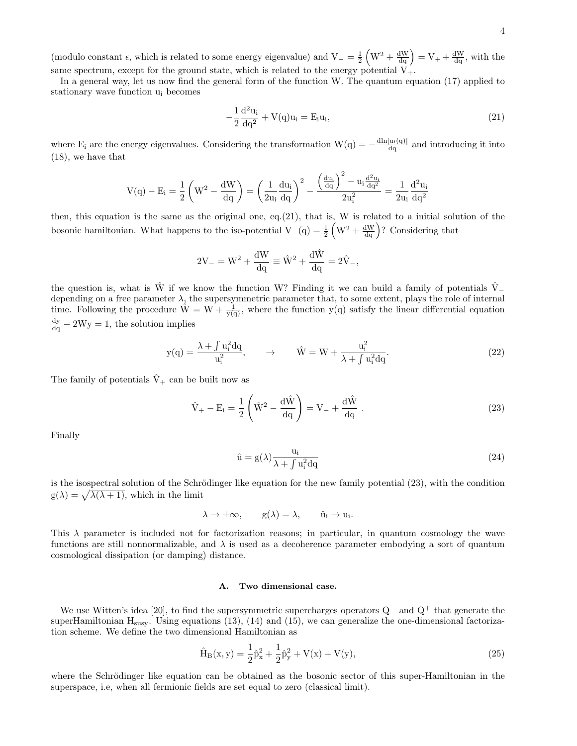(modulo constant  $\epsilon$ , which is related to some energy eigenvalue) and  $V = \frac{1}{2} \left( W^2 + \frac{dW}{dq} \right) = V + \frac{dW}{dq}$ , with the same spectrum, except for the ground state, which is related to the energy potential  $V_{+}$ .

In a general way, let us now find the general form of the function W. The quantum equation (17) applied to stationary wave function u<sup>i</sup> becomes

$$
-\frac{1}{2}\frac{d^2u_i}{dq^2} + V(q)u_i = E_i u_i,
$$
\n(21)

where  $E_i$  are the energy eigenvalues. Considering the transformation  $W(q) = -\frac{d \ln[u_i(q)]}{dq}$  and introducing it into (18), we have that

$$
V(q)-E_i=\frac{1}{2}\left(W^2-\frac{dW}{dq}\right)=\left(\frac{1}{2u_i}\frac{du_i}{dq}\right)^2-\frac{\left(\frac{du_i}{dq}\right)^2-u_i\frac{d^2u_i}{dq^2}}{2u_i^2}=\frac{1}{2u_i}\frac{d^2u_i}{dq^2}
$$

then, this equation is the same as the original one, eq.(21), that is, W is related to a initial solution of the bosonic hamiltonian. What happens to the iso-potential  $V_{-}(q) = \frac{1}{2} \left( W^{2} + \frac{dW}{dq} \right)$ ? Considering that

$$
2V_{-} = W^2 + \frac{dW}{dq} \equiv \hat{W}^2 + \frac{d\hat{W}}{dq} = 2\hat{V}_{-},
$$

the question is, what is  $\hat{W}$  if we know the function W? Finding it we can build a family of potentials  $\hat{V}$ <sub>−</sub> depending on a free parameter  $\lambda$ , the supersymmetric parameter that, to some extent, plays the role of internal time. Following the procedure  $\hat{W} = W + \frac{1}{y(q)}$ , where the function  $y(q)$  satisfy the linear differential equation  $\frac{dy}{dq} - 2Wy = 1$ , the solution implies

$$
y(q) = \frac{\lambda + \int u_i^2 dq}{u_i^2}, \qquad \rightarrow \qquad \hat{W} = W + \frac{u_i^2}{\lambda + \int u_i^2 dq}.
$$
 (22)

The family of potentials  $\hat{V}_+$  can be built now as

$$
\hat{V}_{+} - E_{i} = \frac{1}{2} \left( \hat{W}^{2} - \frac{d\hat{W}}{dq} \right) = V_{-} + \frac{d\hat{W}}{dq} .
$$
\n(23)

Finally

$$
\hat{\mathbf{u}} = \mathbf{g}(\lambda) \frac{\mathbf{u}_i}{\lambda + \int \mathbf{u}_i^2 \mathbf{d}\mathbf{q}} \tag{24}
$$

is the isospectral solution of the Schrödinger like equation for the new family potential  $(23)$ , with the condition  $g(\lambda) = \sqrt{\lambda(\lambda + 1)}$ , which in the limit

$$
\lambda \to \pm \infty, \qquad g(\lambda) = \lambda, \qquad \hat{u}_i \to u_i.
$$

This  $\lambda$  parameter is included not for factorization reasons; in particular, in quantum cosmology the wave functions are still nonnormalizable, and  $\lambda$  is used as a decoherence parameter embodying a sort of quantum cosmological dissipation (or damping) distance.

#### A. Two dimensional case.

We use Witten's idea [20], to find the supersymmetric supercharges operators Q<sup>−</sup> and Q<sup>+</sup> that generate the superHamiltonian  $H_{susy}$ . Using equations (13), (14) and (15), we can generalize the one-dimensional factorization scheme. We define the two dimensional Hamiltonian as

$$
\hat{H}_{B}(x,y) = \frac{1}{2}\hat{p}_{x}^{2} + \frac{1}{2}\hat{p}_{y}^{2} + V(x) + V(y),
$$
\n(25)

where the Schrödinger like equation can be obtained as the bosonic sector of this super-Hamiltonian in the superspace, i.e, when all fermionic fields are set equal to zero (classical limit).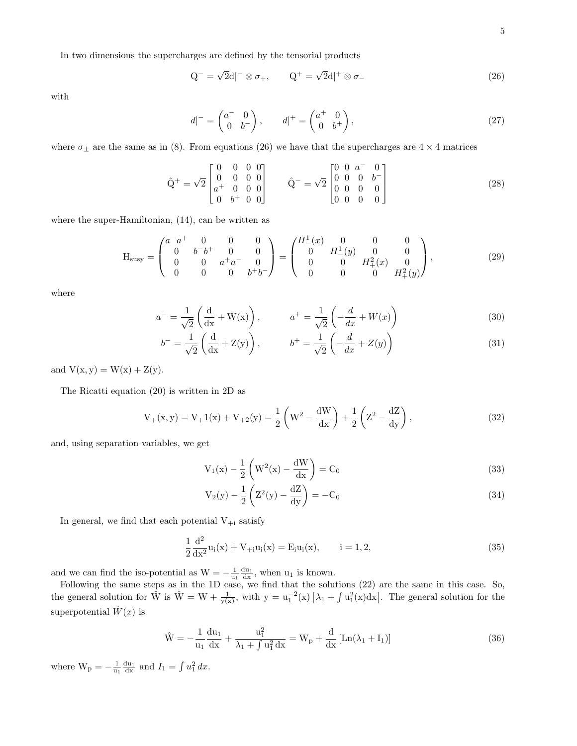In two dimensions the supercharges are defined by the tensorial products

$$
Q^{-} = \sqrt{2}d|^{-} \otimes \sigma_{+}, \qquad Q^{+} = \sqrt{2}d|^{+} \otimes \sigma_{-}
$$
\n(26)

with

$$
d|^- = \begin{pmatrix} a^- & 0 \\ 0 & b^- \end{pmatrix}, \qquad d|^+ = \begin{pmatrix} a^+ & 0 \\ 0 & b^+ \end{pmatrix}, \tag{27}
$$

where  $\sigma_{\pm}$  are the same as in (8). From equations (26) we have that the supercharges are 4  $\times$  4 matrices

$$
\hat{Q}^{+} = \sqrt{2} \begin{bmatrix} 0 & 0 & 0 & 0 \\ 0 & 0 & 0 & 0 \\ a^{+} & 0 & 0 & 0 \\ 0 & b^{+} & 0 & 0 \end{bmatrix} \qquad \hat{Q}^{-} = \sqrt{2} \begin{bmatrix} 0 & 0 & a^{-} & 0 \\ 0 & 0 & 0 & b^{-} \\ 0 & 0 & 0 & 0 \\ 0 & 0 & 0 & 0 \end{bmatrix}
$$
(28)

where the super-Hamiltonian, (14), can be written as

$$
\mathbf{H}_{\text{susy}} = \begin{pmatrix} a^{-}a^{+} & 0 & 0 & 0 \\ 0 & b^{-}b^{+} & 0 & 0 \\ 0 & 0 & a^{+}a^{-} & 0 \\ 0 & 0 & 0 & b^{+}b^{-} \end{pmatrix} = \begin{pmatrix} H_{-}^{1}(x) & 0 & 0 & 0 \\ 0 & H_{-}^{1}(y) & 0 & 0 \\ 0 & 0 & H_{+}^{2}(x) & 0 \\ 0 & 0 & 0 & H_{+}^{2}(y) \end{pmatrix}, \tag{29}
$$

where

$$
a^{-} = \frac{1}{\sqrt{2}} \left( \frac{d}{dx} + W(x) \right), \qquad a^{+} = \frac{1}{\sqrt{2}} \left( -\frac{d}{dx} + W(x) \right)
$$
(30)

$$
b^- = \frac{1}{\sqrt{2}} \left( \frac{\mathrm{d}}{\mathrm{d}x} + Z(y) \right), \qquad b^+ = \frac{1}{\sqrt{2}} \left( -\frac{\mathrm{d}}{\mathrm{d}x} + Z(y) \right) \tag{31}
$$

and  $V(x, y) = W(x) + Z(y)$ .

The Ricatti equation (20) is written in 2D as

$$
V_{+}(x,y) = V_{+}1(x) + V_{+2}(y) = \frac{1}{2} \left( W^{2} - \frac{dW}{dx} \right) + \frac{1}{2} \left( Z^{2} - \frac{dZ}{dy} \right),
$$
\n(32)

and, using separation variables, we get

$$
V_1(x) - \frac{1}{2} \left( W^2(x) - \frac{dW}{dx} \right) = C_0
$$
\n
$$
(33)
$$

$$
V_2(y) - \frac{1}{2} \left( Z^2(y) - \frac{dZ}{dy} \right) = -C_0
$$
\n(34)

In general, we find that each potential  $V_{+i}$  satisfy

$$
\frac{1}{2}\frac{d^2}{dx^2}u_i(x) + V_{+i}u_i(x) = E_i u_i(x), \qquad i = 1, 2,
$$
\n(35)

and we can find the iso-potential as  $W = -\frac{1}{u_1} \frac{du_1}{dx}$ , when  $u_1$  is known.

Following the same steps as in the 1D case, we find that the solutions (22) are the same in this case. So, the general solution for  $\hat{W}$  is  $\hat{W} = W + \frac{1}{y(x)}$ , with  $y = u_1^{-2}(x) \left[ \lambda_1 + \int u_1^2(x) dx \right]$ . The general solution for the superpotential  $\hat{W}(x)$  is

$$
\hat{W} = -\frac{1}{u_1} \frac{du_1}{dx} + \frac{u_1^2}{\lambda_1 + \int u_1^2 dx} = W_p + \frac{d}{dx} [\text{Ln}(\lambda_1 + I_1)]
$$
\n(36)

where  $W_{p} = -\frac{1}{u_1} \frac{du_1}{dx}$  and  $I_1 = \int u_1^2 dx$ .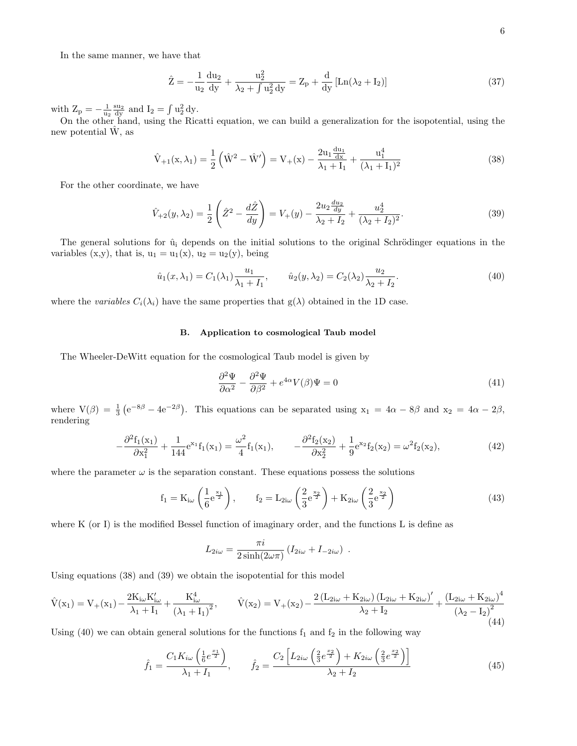In the same manner, we have that

$$
\hat{Z} = -\frac{1}{u_2} \frac{du_2}{dy} + \frac{u_2^2}{\lambda_2 + \int u_2^2 dy} = Z_p + \frac{d}{dy} [\text{Ln}(\lambda_2 + I_2)]
$$
\n(37)

with  $Z_p = -\frac{1}{u_2} \frac{su_2}{dy}$  and  $I_2 = \int u_2^2 dy$ .

On the other hand, using the Ricatti equation, we can build a generalization for the isopotential, using the new potential  $\hat{W}$ , as

$$
\hat{V}_{+1}(x,\lambda_1) = \frac{1}{2} \left( \hat{W}^2 - \hat{W}' \right) = V_+(x) - \frac{2u_1 \frac{du_1}{dx}}{\lambda_1 + I_1} + \frac{u_1^4}{(\lambda_1 + I_1)^2}
$$
\n(38)

For the other coordinate, we have

$$
\hat{V}_{+2}(y,\lambda_2) = \frac{1}{2} \left( \hat{Z}^2 - \frac{d\hat{Z}}{dy} \right) = V_+(y) - \frac{2u_2 \frac{du_2}{dy}}{\lambda_2 + I_2} + \frac{u_2^4}{(\lambda_2 + I_2)^2}.
$$
\n(39)

The general solutions for  $\hat{u}_i$  depends on the initial solutions to the original Schrödinger equations in the variables  $(x,y)$ , that is,  $u_1 = u_1(x)$ ,  $u_2 = u_2(y)$ , being

$$
\hat{u}_1(x,\lambda_1) = C_1(\lambda_1) \frac{u_1}{\lambda_1 + I_1}, \qquad \hat{u}_2(y,\lambda_2) = C_2(\lambda_2) \frac{u_2}{\lambda_2 + I_2}.
$$
\n(40)

where the variables  $C_i(\lambda_i)$  have the same properties that  $g(\lambda)$  obtained in the 1D case.

#### B. Application to cosmological Taub model

The Wheeler-DeWitt equation for the cosmological Taub model is given by

$$
\frac{\partial^2 \Psi}{\partial \alpha^2} - \frac{\partial^2 \Psi}{\partial \beta^2} + e^{4\alpha} V(\beta) \Psi = 0
$$
\n(41)

where  $V(\beta) = \frac{1}{3} (e^{-8\beta} - 4e^{-2\beta})$ . This equations can be separated using  $x_1 = 4\alpha - 8\beta$  and  $x_2 = 4\alpha - 2\beta$ , rendering

$$
-\frac{\partial^2 f_1(x_1)}{\partial x_1^2} + \frac{1}{144} e^{x_1} f_1(x_1) = \frac{\omega^2}{4} f_1(x_1), \qquad -\frac{\partial^2 f_2(x_2)}{\partial x_2^2} + \frac{1}{9} e^{x_2} f_2(x_2) = \omega^2 f_2(x_2),\tag{42}
$$

where the parameter  $\omega$  is the separation constant. These equations possess the solutions

$$
f_1 = K_{i\omega} \left( \frac{1}{6} e^{\frac{x_1}{2}} \right), \qquad f_2 = L_{2i\omega} \left( \frac{2}{3} e^{\frac{x_2}{2}} \right) + K_{2i\omega} \left( \frac{2}{3} e^{\frac{x_2}{2}} \right)
$$
(43)

where K (or I) is the modified Bessel function of imaginary order, and the functions L is define as

$$
L_{2i\omega} = \frac{\pi i}{2\sinh(2\omega\pi)} \left( I_{2i\omega} + I_{-2i\omega} \right) .
$$

Using equations (38) and (39) we obtain the isopotential for this model

$$
\hat{V}(x_1) = V_+(x_1) - \frac{2K_{i\omega}K'_{i\omega}}{\lambda_1 + I_1} + \frac{K^4_{i\omega}}{(\lambda_1 + I_1)^2}, \qquad \hat{V}(x_2) = V_+(x_2) - \frac{2\left(L_{2i\omega} + K_{2i\omega}\right)\left(L_{2i\omega} + K_{2i\omega}\right)^{\prime}}{\lambda_2 + I_2} + \frac{\left(L_{2i\omega} + K_{2i\omega}\right)^4}{\left(\lambda_2 - I_2\right)^2}
$$
\n(44)

Using (40) we can obtain general solutions for the functions  $f_1$  and  $f_2$  in the following way

$$
\hat{f}_1 = \frac{C_1 K_{i\omega} \left(\frac{1}{6} e^{\frac{x_1}{2}}\right)}{\lambda_1 + I_1}, \qquad \hat{f}_2 = \frac{C_2 \left[L_{2i\omega} \left(\frac{2}{3} e^{\frac{x_2}{2}}\right) + K_{2i\omega} \left(\frac{2}{3} e^{\frac{x_2}{2}}\right)\right]}{\lambda_2 + I_2}
$$
(45)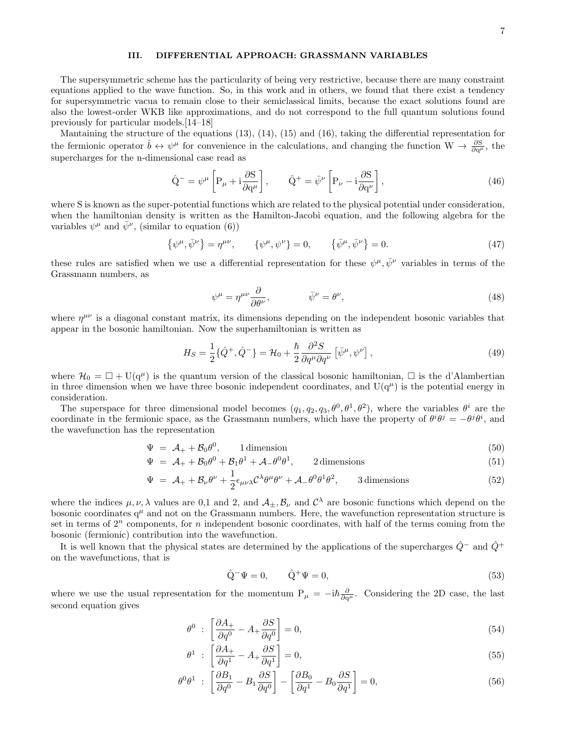# III. DIFFERENTIAL APPROACH: GRASSMANN VARIABLES

The supersymmetric scheme has the particularity of being very restrictive, because there are many constraint equations applied to the wave function. So, in this work and in others, we found that there exist a tendency for supersymmetric vacua to remain close to their semiclassical limits, because the exact solutions found are also the lowest-order WKB like approximations, and do not correspond to the full quantum solutions found previously for particular models.[14–18]

Mantaining the structure of the equations (13), (14), (15) and (16), taking the differential representation for the fermionic operator  $\hat{b} \leftrightarrow \psi^{\mu}$  for convenience in the calculations, and changing the function  $W \to \frac{\partial S}{\partial q^{\mu}}$ , the supercharges for the n-dimensional case read as

$$
\hat{\mathbf{Q}}^{-} = \psi^{\mu} \left[ \mathbf{P}_{\mu} + \mathbf{i} \frac{\partial \mathbf{S}}{\partial \mathbf{q}^{\mu}} \right], \qquad \hat{\mathbf{Q}}^{+} = \bar{\psi}^{\nu} \left[ \mathbf{P}_{\nu} - \mathbf{i} \frac{\partial \mathbf{S}}{\partial \mathbf{q}^{\nu}} \right], \tag{46}
$$

where S is known as the super-potential functions which are related to the physical potential under consideration, when the hamiltonian density is written as the Hamilton-Jacobi equation, and the following algebra for the variables  $\psi^{\mu}$  and  $\bar{\psi}^{\nu}$ , (similar to equation (6))

$$
\{\psi^{\mu}, \bar{\psi}^{\nu}\} = \eta^{\mu\nu}, \qquad \{\psi^{\mu}, \psi^{\nu}\} = 0, \qquad \{\bar{\psi}^{\mu}, \bar{\psi}^{\nu}\} = 0.
$$
 (47)

these rules are satisfied when we use a differential representation for these  $\psi^{\mu}, \bar{\psi}^{\nu}$  variables in terms of the Grassmann numbers, as

$$
\psi^{\mu} = \eta^{\mu\nu} \frac{\partial}{\partial \theta^{\nu}}, \qquad \bar{\psi}^{\nu} = \theta^{\nu}, \qquad (48)
$$

where  $\eta^{\mu\nu}$  is a diagonal constant matrix, its dimensions depending on the independent bosonic variables that appear in the bosonic hamiltonian. Now the superhamiltonian is written as

$$
H_S = \frac{1}{2} \{ \hat{Q}^+, \hat{Q}^-\} = \mathcal{H}_0 + \frac{\hbar}{2} \frac{\partial^2 S}{\partial q^\mu \partial q^\nu} \left[ \bar{\psi}^\mu, \psi^\nu \right],\tag{49}
$$

where  $\mathcal{H}_0 = \Box + U(q^{\mu})$  is the quantum version of the classical bosonic hamiltonian,  $\Box$  is the d'Alambertian in three dimension when we have three bosonic independent coordinates, and  $U(q^{\mu})$  is the potential energy in consideration.

The superspace for three dimensional model becomes  $(q_1, q_2, q_3, \theta^0, \theta^1, \theta^2)$ , where the variables  $\theta^i$  are the coordinate in the fermionic space, as the Grassmann numbers, which have the property of  $\theta^i \theta^j = -\theta^j \theta^i$ , and the wavefunction has the representation

$$
\Psi = \mathcal{A}_{+} + \mathcal{B}_{0}\theta^{0}, \qquad 1 \text{ dimension} \tag{50}
$$

$$
\Psi = \mathcal{A}_{+} + \mathcal{B}_{0}\theta^{0} + \mathcal{B}_{1}\theta^{1} + \mathcal{A}_{-}\theta^{0}\theta^{1}, \qquad 2 \text{dimensions}
$$
\n(51)

$$
\Psi = \mathcal{A}_{+} + \mathcal{B}_{\nu}\theta^{\nu} + \frac{1}{2}\epsilon_{\mu\nu\lambda}\mathcal{C}^{\lambda}\theta^{\mu}\theta^{\nu} + \mathcal{A}_{-}\theta^{0}\theta^{1}\theta^{2}, \qquad \text{3 dimensions} \tag{52}
$$

where the indices  $\mu, \nu, \lambda$  values are 0,1 and 2, and  $\mathcal{A}_{\pm}, \mathcal{B}_{\nu}$  and  $\mathcal{C}^{\lambda}$  are bosonic functions which depend on the bosonic coordinates  $q^{\mu}$  and not on the Grassmann numbers. Here, the wavefunction representation structure is set in terms of  $2^n$  components, for n independent bosonic coordinates, with half of the terms coming from the bosonic (fermionic) contribution into the wavefunction.

It is well known that the physical states are determined by the applications of the supercharges  $\hat{Q}$ <sup>−</sup> and  $\hat{Q}$ <sup>+</sup> on the wavefunctions, that is

$$
\hat{\mathbf{Q}}^-\Psi = 0, \qquad \hat{\mathbf{Q}}^+\Psi = 0,\tag{53}
$$

where we use the usual representation for the momentum  $P_{\mu} = -i\hbar \frac{\partial}{\partial q^{\mu}}$ . Considering the 2D case, the last second equation gives

$$
\theta^0 \; : \; \left[ \frac{\partial A_+}{\partial q^0} - A_+ \frac{\partial S}{\partial q^0} \right] = 0,\tag{54}
$$

$$
\theta^1 \; : \; \left[ \frac{\partial A_+}{\partial q^1} - A_+ \frac{\partial S}{\partial q^1} \right] = 0,\tag{55}
$$

$$
\theta^0 \theta^1 \; : \; \left[ \frac{\partial B_1}{\partial q^0} - B_1 \frac{\partial S}{\partial q^0} \right] - \left[ \frac{\partial B_0}{\partial q^1} - B_0 \frac{\partial S}{\partial q^1} \right] = 0,\tag{56}
$$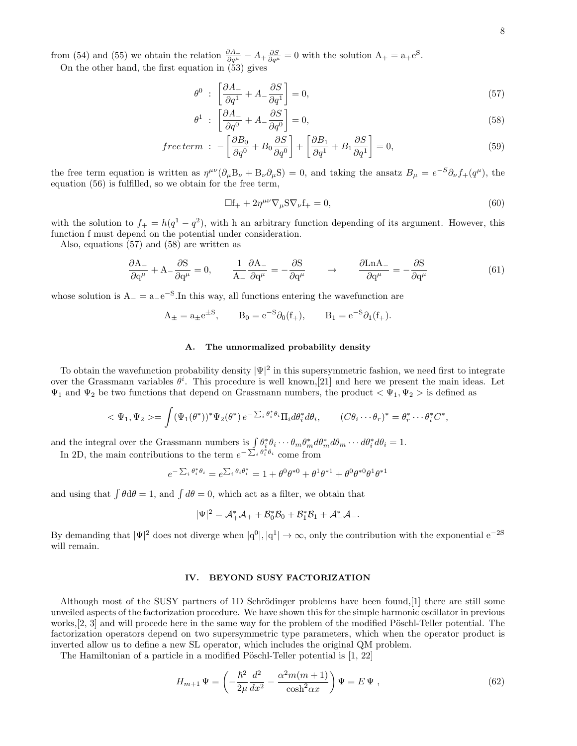from (54) and (55) we obtain the relation  $\frac{\partial A_+}{\partial q^{\mu}} - A_+ \frac{\partial S}{\partial q^{\mu}} = 0$  with the solution  $A_+ = a_+ e^S$ .

On the other hand, the first equation in (53) gives

$$
\theta^0 \; : \; \left[ \frac{\partial A_-}{\partial q^1} + A_- \frac{\partial S}{\partial q^1} \right] = 0,\tag{57}
$$

$$
\theta^1 \; : \; \left[ \frac{\partial A_-}{\partial q^0} + A_- \frac{\partial S}{\partial q^0} \right] = 0,\tag{58}
$$

$$
free\ term\ \colon -\left[\frac{\partial B_0}{\partial q^0} + B_0 \frac{\partial S}{\partial q^0}\right] + \left[\frac{\partial B_1}{\partial q^1} + B_1 \frac{\partial S}{\partial q^1}\right] = 0,\tag{59}
$$

the free term equation is written as  $\eta^{\mu\nu}(\partial_{\mu}B_{\nu} + B_{\nu}\partial_{\mu}S) = 0$ , and taking the ansatz  $B_{\mu} = e^{-S}\partial_{\nu}f_{+}(q^{\mu})$ , the equation (56) is fulfilled, so we obtain for the free term,

$$
\Box f_{+} + 2\eta^{\mu\nu}\nabla_{\mu}S\nabla_{\nu}f_{+} = 0, \qquad (60)
$$

with the solution to  $f_+ = h(q^1 - q^2)$ , with h an arbitrary function depending of its argument. However, this function f must depend on the potential under consideration.

Also, equations (57) and (58) are written as

$$
\frac{\partial \mathbf{A}_{-}}{\partial \mathbf{q}^{\mu}} + \mathbf{A}_{-} \frac{\partial \mathbf{S}}{\partial \mathbf{q}^{\mu}} = 0, \qquad \frac{1}{\mathbf{A}_{-}} \frac{\partial \mathbf{A}_{-}}{\partial \mathbf{q}^{\mu}} = -\frac{\partial \mathbf{S}}{\partial \mathbf{q}^{\mu}} \qquad \rightarrow \qquad \frac{\partial \mathbf{L} \mathbf{n} \mathbf{A}_{-}}{\partial \mathbf{q}^{\mu}} = -\frac{\partial \mathbf{S}}{\partial \mathbf{q}^{\mu}} \tag{61}
$$

whose solution is  $A_{-} = a_{-}e^{-S}$ . In this way, all functions entering the wavefunction are

$$
A_{\pm} = a_{\pm} e^{\pm S}
$$
,  $B_0 = e^{-S} \partial_0(f_+)$ ,  $B_1 = e^{-S} \partial_1(f_+)$ .

# A. The unnormalized probability density

To obtain the wavefunction probability density  $|\Psi|^2$  in this supersymmetric fashion, we need first to integrate over the Grassmann variables  $\theta^i$ . This procedure is well known, [21] and here we present the main ideas. Let  $\Psi_1$  and  $\Psi_2$  be two functions that depend on Grassmann numbers, the product  $\langle \Psi_1, \Psi_2 \rangle$  is defined as

$$
\langle \Psi_1, \Psi_2 \rangle = \int (\Psi_1(\theta^*))^* \Psi_2(\theta^*) e^{-\sum_i \theta_i^* \theta_i} \Pi_i d\theta_i^* d\theta_i, \qquad (C\theta_i \cdots \theta_r)^* = \theta_r^* \cdots \theta_i^* C^*,
$$

and the integral over the Grassmann numbers is  $\int \theta_i^* \theta_i \cdots \theta_m \theta_m^* d\theta_m d\theta_m \cdots d\theta_i^* d\theta_i = 1$ .

In 2D, the main contributions to the term  $e^{-\sum_i \theta_i^* \theta_i}$  come from

$$
e^{-\sum_i \theta_i^* \theta_i} = e^{\sum_i \theta_i \theta_i^*} = 1 + \theta^0 \theta^{*0} + \theta^1 \theta^{*1} + \theta^0 \theta^{*0} \theta^1 \theta^{*1}
$$

and using that  $\int \theta d\theta = 1$ , and  $\int d\theta = 0$ , which act as a filter, we obtain that

$$
|\Psi|^2=\mathcal{A}_+^*\mathcal{A}_++\mathcal{B}_0^*\mathcal{B}_0+\mathcal{B}_1^*\mathcal{B}_1+\mathcal{A}_-^*\mathcal{A}_-.
$$

By demanding that  $|\Psi|^2$  does not diverge when  $|q^0|, |q^1| \to \infty$ , only the contribution with the exponential  $e^{-2S}$ will remain.

### IV. BEYOND SUSY FACTORIZATION

Although most of the SUSY partners of 1D Schrödinger problems have been found,  $[1]$  there are still some unveiled aspects of the factorization procedure. We have shown this for the simple harmonic oscillator in previous works, $[2, 3]$  and will procede here in the same way for the problem of the modified Pöschl-Teller potential. The factorization operators depend on two supersymmetric type parameters, which when the operator product is inverted allow us to define a new SL operator, which includes the original QM problem.

The Hamiltonian of a particle in a modified Pöschl-Teller potential is  $[1, 22]$ 

$$
H_{m+1}\Psi = \left(-\frac{\hbar^2}{2\mu}\frac{d^2}{dx^2} - \frac{\alpha^2 m(m+1)}{\cosh^2 \alpha x}\right)\Psi = E\Psi ,
$$
\n(62)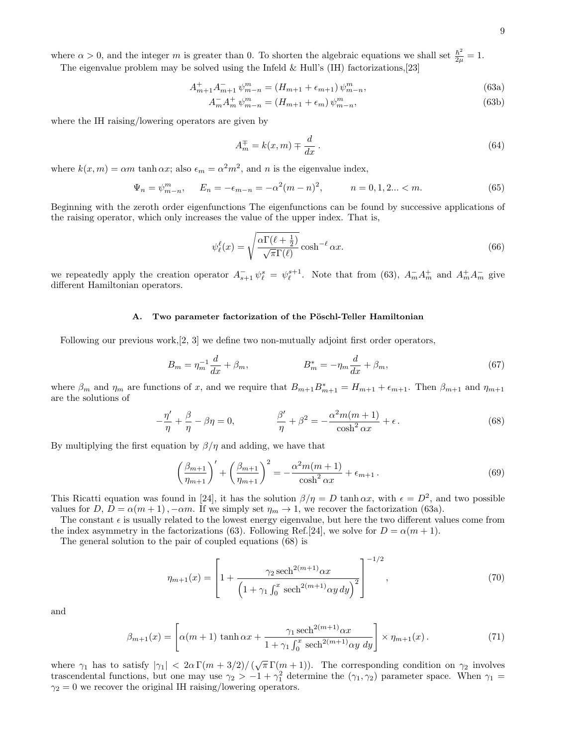where  $\alpha > 0$ , and the integer m is greater than 0. To shorten the algebraic equations we shall set  $\frac{\hbar^2}{2m}$  $\frac{h^2}{2\mu}=1.$ 

The eigenvalue problem may be solved using the Infeld  $&$  Hull's (IH) factorizations, [23]

$$
A_{m+1}^{+}A_{m+1}^{-}\psi_{m-n}^{m} = (H_{m+1} + \epsilon_{m+1})\psi_{m-n}^{m},\tag{63a}
$$

$$
A_m^- A_m^+ \psi_{m-n}^m = (H_{m+1} + \epsilon_m) \psi_{m-n}^m,\tag{63b}
$$

where the IH raising/lowering operators are given by

$$
A_m^{\pm} = k(x, m) \mp \frac{d}{dx} \,. \tag{64}
$$

where  $k(x, m) = \alpha m \tanh \alpha x$ ; also  $\epsilon_m = \alpha^2 m^2$ , and n is the eigenvalue index,

$$
\Psi_n = \psi_{m-n}^m, \qquad E_n = -\epsilon_{m-n} = -\alpha^2 (m-n)^2, \qquad n = 0, 1, 2... < m. \tag{65}
$$

Beginning with the zeroth order eigenfunctions The eigenfunctions can be found by successive applications of the raising operator, which only increases the value of the upper index. That is,

$$
\psi_{\ell}^{\ell}(x) = \sqrt{\frac{\alpha \Gamma(\ell + \frac{1}{2})}{\sqrt{\pi} \Gamma(\ell)}} \cosh^{-\ell} \alpha x.
$$
\n(66)

we repeatedly apply the creation operator  $A_{s+1}^- \psi_\ell^s = \psi_\ell^{s+1}$ . Note that from (63),  $A_m^- A_m^+$  and  $A_m^+ A_m^-$  give different Hamiltonian operators.

# A. Two parameter factorization of the Pöschl-Teller Hamiltonian

Following our previous work,[2, 3] we define two non-mutually adjoint first order operators,

$$
B_m = \eta_m^{-1} \frac{d}{dx} + \beta_m, \qquad B_m^* = -\eta_m \frac{d}{dx} + \beta_m, \qquad (67)
$$

where  $\beta_m$  and  $\eta_m$  are functions of x, and we require that  $B_{m+1}B_{m+1}^* = H_{m+1} + \epsilon_{m+1}$ . Then  $\beta_{m+1}$  and  $\eta_{m+1}$ are the solutions of

$$
-\frac{\eta'}{\eta} + \frac{\beta}{\eta} - \beta \eta = 0, \qquad \frac{\beta'}{\eta} + \beta^2 = -\frac{\alpha^2 m(m+1)}{\cosh^2 \alpha x} + \epsilon.
$$
 (68)

By multiplying the first equation by  $\beta/\eta$  and adding, we have that

$$
\left(\frac{\beta_{m+1}}{\eta_{m+1}}\right)' + \left(\frac{\beta_{m+1}}{\eta_{m+1}}\right)^2 = -\frac{\alpha^2 m(m+1)}{\cosh^2 \alpha x} + \epsilon_{m+1}.
$$
\n(69)

This Ricatti equation was found in [24], it has the solution  $\beta/\eta = D \tanh \alpha x$ , with  $\epsilon = D^2$ , and two possible values for D,  $D = \alpha(m+1)$ ,  $-\alpha m$ . If we simply set  $\eta_m \to 1$ , we recover the factorization (63a).

The constant  $\epsilon$  is usually related to the lowest energy eigenvalue, but here the two different values come from the index asymmetry in the factorizations (63). Following Ref.[24], we solve for  $D = \alpha(m+1)$ .

The general solution to the pair of coupled equations (68) is

$$
\eta_{m+1}(x) = \left[1 + \frac{\gamma_2 \operatorname{sech}^{2(m+1)} \alpha x}{\left(1 + \gamma_1 \int_0^x \operatorname{sech}^{2(m+1)} \alpha y \, dy\right)^2}\right]^{-1/2},\tag{70}
$$

and

$$
\beta_{m+1}(x) = \left[ \alpha(m+1) \tanh \alpha x + \frac{\gamma_1 \operatorname{sech}^{2(m+1)} \alpha x}{1 + \gamma_1 \int_0^x \operatorname{sech}^{2(m+1)} \alpha y \, dy} \right] \times \eta_{m+1}(x) \,. \tag{71}
$$

where  $\gamma_1$  has to satisfy  $|\gamma_1| < 2\alpha \Gamma(m+3/2)/(\sqrt{\pi} \Gamma(m+1))$ . The corresponding condition on  $\gamma_2$  involves trascendental functions, but one may use  $\gamma_2 > -1 + \gamma_1^2$  determine the  $(\gamma_1, \gamma_2)$  parameter space. When  $\gamma_1 =$  $\gamma_2 = 0$  we recover the original IH raising/lowering operators.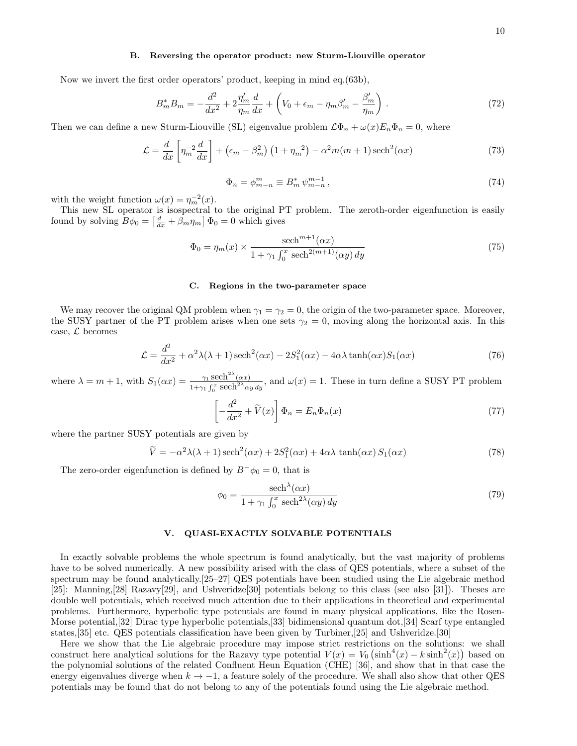#### B. Reversing the operator product: new Sturm-Liouville operator

Now we invert the first order operators' product, keeping in mind eq.(63b),

$$
B_m^* B_m = -\frac{d^2}{dx^2} + 2\frac{\eta_m'}{\eta_m} \frac{d}{dx} + \left( V_0 + \epsilon_m - \eta_m \beta_m' - \frac{\beta_m'}{\eta_m} \right) . \tag{72}
$$

Then we can define a new Sturm-Liouville (SL) eigenvalue problem  $\mathcal{L}\Phi_n + \omega(x)E_n\Phi_n = 0$ , where

$$
\mathcal{L} = \frac{d}{dx} \left[ \eta_m^{-2} \frac{d}{dx} \right] + \left( \epsilon_m - \beta_m^2 \right) \left( 1 + \eta_m^{-2} \right) - \alpha^2 m(m+1) \operatorname{sech}^2(\alpha x) \tag{73}
$$

$$
\Phi_n = \phi_{m-n}^m \equiv B_m^* \,\psi_{m-n}^{m-1} \,,\tag{74}
$$

with the weight function  $\omega(x) = \eta_m^{-2}(x)$ .

This new SL operator is isospectral to the original PT problem. The zeroth-order eigenfunction is easily found by solving  $\overline{B}\phi_0 = \left[\frac{d}{dx} + \beta_m \eta_m\right] \Phi_0 = 0$  which gives

$$
\Phi_0 = \eta_m(x) \times \frac{\text{sech}^{m+1}(\alpha x)}{1 + \gamma_1 \int_0^x \text{sech}^{2(m+1)}(\alpha y) \, dy} \tag{75}
$$

#### C. Regions in the two-parameter space

We may recover the original QM problem when  $\gamma_1 = \gamma_2 = 0$ , the origin of the two-parameter space. Moreover, the SUSY partner of the PT problem arises when one sets  $\gamma_2 = 0$ , moving along the horizontal axis. In this case,  $\mathcal{L}$  becomes

$$
\mathcal{L} = \frac{d^2}{dx^2} + \alpha^2 \lambda(\lambda + 1) \operatorname{sech}^2(\alpha x) - 2S_1^2(\alpha x) - 4\alpha \lambda \tanh(\alpha x) S_1(\alpha x) \tag{76}
$$

where  $\lambda = m + 1$ , with  $S_1(\alpha x) = \frac{\gamma_1 \operatorname{sech}^{2\lambda}(\alpha x)}{\lambda}$  $\frac{\gamma_1 \text{sech}(\alpha x)}{1+\gamma_1 \int_0^x \text{sech}^{2\lambda} \alpha y \, dy}$ , and  $\omega(x) = 1$ . These in turn define a SUSY PT problem

$$
\left[-\frac{d^2}{dx^2} + \tilde{V}(x)\right]\Phi_n = E_n\Phi_n(x)
$$
\n(77)

where the partner SUSY potentials are given by

$$
\widetilde{V} = -\alpha^2 \lambda(\lambda + 1) \operatorname{sech}^2(\alpha x) + 2S_1^2(\alpha x) + 4\alpha \lambda \tanh(\alpha x) S_1(\alpha x)
$$
\n(78)

The zero-order eigenfunction is defined by  $B^{-}\phi_0 = 0$ , that is

$$
\phi_0 = \frac{\text{sech}^{\lambda}(\alpha x)}{1 + \gamma_1 \int_0^x \text{sech}^{2\lambda}(\alpha y) \, dy} \tag{79}
$$

### V. QUASI-EXACTLY SOLVABLE POTENTIALS

In exactly solvable problems the whole spectrum is found analytically, but the vast majority of problems have to be solved numerically. A new possibility arised with the class of QES potentials, where a subset of the spectrum may be found analytically.[25–27] QES potentials have been studied using the Lie algebraic method [25]: Manning,[28] Razavy[29], and Ushveridze[30] potentials belong to this class (see also [31]). Theses are double well potentials, which received much attention due to their applications in theoretical and experimental problems. Furthermore, hyperbolic type potentials are found in many physical applications, like the Rosen-Morse potential,[32] Dirac type hyperbolic potentials,[33] bidimensional quantum dot,[34] Scarf type entangled states,[35] etc. QES potentials classification have been given by Turbiner,[25] and Ushveridze.[30]

Here we show that the Lie algebraic procedure may impose strict restrictions on the solutions: we shall construct here analytical solutions for the Razavy type potential  $V(x) = V_0 (\sinh^4(x) - k \sinh^2(x))$  based on the polynomial solutions of the related Confluent Heun Equation (CHE) [36], and show that in that case the energy eigenvalues diverge when  $k \to -1$ , a feature solely of the procedure. We shall also show that other QES potentials may be found that do not belong to any of the potentials found using the Lie algebraic method.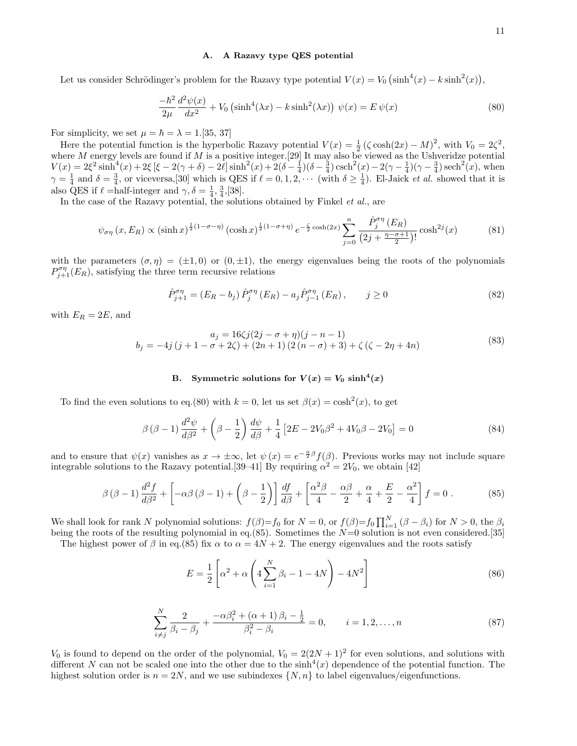# A. A Razavy type QES potential

Let us consider Schrödinger's problem for the Razavy type potential  $V(x) = V_0 (\sinh^4(x) - k \sinh^2(x))$ ,

$$
\frac{-\hbar^2}{2\mu} \frac{d^2\psi(x)}{dx^2} + V_0 \left(\sinh^4(\lambda x) - k\sinh^2(\lambda x)\right) \psi(x) = E\psi(x)
$$
\n(80)

For simplicity, we set  $\mu = \hbar = \lambda = 1.55, 37$ 

Here the potential function is the hyperbolic Razavy potential  $V(x) = \frac{1}{2} (\zeta \cosh(2x) - M)^2$ , with  $V_0 = 2\zeta^2$ , where M energy levels are found if M is a positive integer. [29] It may also be viewed as the Ushveridze potential  $V(x) = 2\xi^2 \sinh^4(x) + 2\xi \left[ \xi - 2(\gamma + \delta) - 2\ell \right] \sinh^2(x) + 2(\delta - \frac{1}{4})(\delta - \frac{3}{4}) \operatorname{csch}^2(x) - 2(\gamma - \frac{1}{4})(\gamma - \frac{3}{4}) \operatorname{sech}^2(x)$ , when  $\gamma = \frac{1}{4}$  and  $\delta = \frac{3}{4}$ , or viceversa, [30] which is QES if  $\ell = 0, 1, 2, \cdots$  (with  $\delta \ge \frac{1}{4}$ ). El-Jaick *et al.* showed that it is also QES if  $\ell$  =half-integer and  $\gamma, \delta = \frac{1}{4}, \frac{3}{4}, [38]$ .

In the case of the Razavy potential, the solutions obtained by Finkel et al., are

$$
\psi_{\sigma\eta} (x, E_R) \propto (\sinh x)^{\frac{1}{2}(1-\sigma-\eta)} (\cosh x)^{\frac{1}{2}(1-\sigma+\eta)} e^{-\frac{\zeta}{2}\cosh(2x)} \sum_{j=0}^n \frac{\hat{P}_j^{\sigma\eta} (E_R)}{(2j+\frac{\eta-\sigma+1}{2})!} \cosh^{2j}(x) \tag{81}
$$

with the parameters  $(\sigma, \eta) = (\pm 1, 0)$  or  $(0, \pm 1)$ , the energy eigenvalues being the roots of the polynomials  $P_{j+1}^{\sigma\eta}(E_R)$ , satisfying the three term recursive relations

$$
\hat{P}_{j+1}^{\sigma \eta} = (E_R - b_j) \,\hat{P}_j^{\sigma \eta} \,(E_R) - a_j \hat{P}_{j-1}^{\sigma \eta} \,(E_R) \,, \qquad j \ge 0 \tag{82}
$$

with  $E_R = 2E$ , and

$$
a_j = 16\zeta j(2j - \sigma + \eta)(j - n - 1)
$$
  
\n
$$
b_j = -4j(j + 1 - \sigma + 2\zeta) + (2n + 1)(2(n - \sigma) + 3) + \zeta(\zeta - 2\eta + 4n)
$$
\n(83)

# B. Symmetric solutions for  $V(x) = V_0 \sinh^4(x)$

To find the even solutions to eq.(80) with  $k = 0$ , let us set  $\beta(x) = \cosh^2(x)$ , to get

$$
\beta (\beta - 1) \frac{d^2 \psi}{d\beta^2} + \left(\beta - \frac{1}{2}\right) \frac{d\psi}{d\beta} + \frac{1}{4} \left[2E - 2V_0 \beta^2 + 4V_0 \beta - 2V_0\right] = 0
$$
\n(84)

and to ensure that  $\psi(x)$  vanishes as  $x \to \pm \infty$ , let  $\psi(x) = e^{-\frac{\alpha}{2}\beta} f(\beta)$ . Previous works may not include square integrable solutions to the Razavy potential. [39–41] By requiring  $\alpha^2 = 2V_0$ , we obtain [42]

$$
\beta \left(\beta - 1\right) \frac{d^2 f}{d\beta^2} + \left[ -\alpha \beta \left(\beta - 1\right) + \left(\beta - \frac{1}{2}\right) \right] \frac{df}{d\beta} + \left[ \frac{\alpha^2 \beta}{4} - \frac{\alpha \beta}{2} + \frac{\alpha}{4} + \frac{E}{2} - \frac{\alpha^2}{4} \right] f = 0 \ . \tag{85}
$$

We shall look for rank N polynomial solutions:  $f(\beta)=f_0$  for  $N=0$ , or  $f(\beta)=f_0 \prod_{i=1}^N (\beta-\beta_i)$  for  $N>0$ , the  $\beta_i$ being the roots of the resulting polynomial in eq.(85). Sometimes the  $N=0$  solution is not even considered.[35]

The highest power of  $\beta$  in eq.(85) fix  $\alpha$  to  $\alpha = 4N + 2$ . The energy eigenvalues and the roots satisfy

$$
E = \frac{1}{2} \left[ \alpha^2 + \alpha \left( 4 \sum_{i=1}^{N} \beta_i - 1 - 4N \right) - 4N^2 \right]
$$
 (86)

$$
\sum_{i \neq j}^{N} \frac{2}{\beta_i - \beta_j} + \frac{-\alpha \beta_i^2 + (\alpha + 1)\beta_i - \frac{1}{2}}{\beta_i^2 - \beta_i} = 0, \qquad i = 1, 2, ..., n
$$
\n(87)

 $V_0$  is found to depend on the order of the polynomial,  $V_0 = 2(2N + 1)^2$  for even solutions, and solutions with different N can not be scaled one into the other due to the  $\sinh^4(x)$  dependence of the potential function. The highest solution order is  $n = 2N$ , and we use subindexes  $\{N, n\}$  to label eigenvalues/eigenfunctions.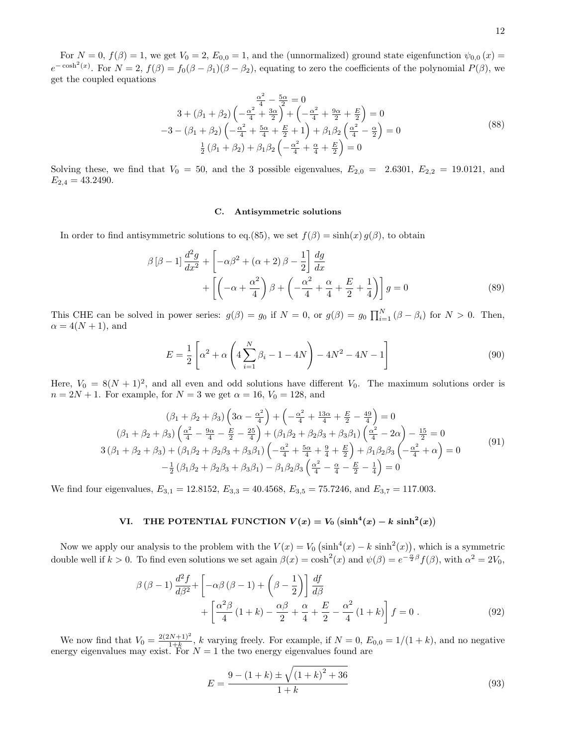For  $N = 0$ ,  $f(\beta) = 1$ , we get  $V_0 = 2$ ,  $E_{0,0} = 1$ , and the (unnormalized) ground state eigenfunction  $\psi_{0,0}(x) =$  $e^{-\cosh^2(x)}$ . For  $N=2$ ,  $f(\beta)=f_0(\beta-\beta_1)(\beta-\beta_2)$ , equating to zero the coefficients of the polynomial  $P(\beta)$ , we get the coupled equations

$$
\frac{\alpha^2}{4} - \frac{5\alpha}{2} = 0
$$
  
3 + (\beta\_1 + \beta\_2)  $\left(-\frac{\alpha^2}{4} + \frac{3\alpha}{2}\right) + \left(-\frac{\alpha^2}{4} + \frac{9\alpha}{2} + \frac{E}{2}\right) = 0$   
-3 - (\beta\_1 + \beta\_2)  $\left(-\frac{\alpha^2}{4} + \frac{5\alpha}{4} + \frac{E}{2} + 1\right) + \beta_1\beta_2 \left(\frac{\alpha^2}{4} - \frac{\alpha}{2}\right) = 0$   
 $\frac{1}{2}(\beta_1 + \beta_2) + \beta_1\beta_2 \left(-\frac{\alpha^2}{4} + \frac{\alpha}{4} + \frac{E}{2}\right) = 0$  (88)

Solving these, we find that  $V_0 = 50$ , and the 3 possible eigenvalues,  $E_{2,0} = 2.6301$ ,  $E_{2,2} = 19.0121$ , and  $E_{2,4} = 43.2490.$ 

# C. Antisymmetric solutions

In order to find antisymmetric solutions to eq.(85), we set  $f(\beta) = \sinh(x) g(\beta)$ , to obtain

$$
\beta \left[\beta - 1\right] \frac{d^2 g}{dx^2} + \left[ -\alpha \beta^2 + (\alpha + 2)\beta - \frac{1}{2} \right] \frac{dg}{dx}
$$

$$
+ \left[ \left( -\alpha + \frac{\alpha^2}{4} \right) \beta + \left( -\frac{\alpha^2}{4} + \frac{\alpha}{4} + \frac{E}{2} + \frac{1}{4} \right) \right] g = 0 \tag{89}
$$

This CHE can be solved in power series:  $g(\beta) = g_0$  if  $N = 0$ , or  $g(\beta) = g_0 \prod_{i=1}^{N} (\beta - \beta_i)$  for  $N > 0$ . Then,  $\alpha = 4(N + 1)$ , and

$$
E = \frac{1}{2} \left[ \alpha^2 + \alpha \left( 4 \sum_{i=1}^{N} \beta_i - 1 - 4N \right) - 4N^2 - 4N - 1 \right]
$$
 (90)

Here,  $V_0 = 8(N + 1)^2$ , and all even and odd solutions have different  $V_0$ . The maximum solutions order is  $n = 2N + 1$ . For example, for  $N = 3$  we get  $\alpha = 16$ ,  $V_0 = 128$ , and

$$
(\beta_1 + \beta_2 + \beta_3) \left(3\alpha - \frac{\alpha^2}{4}\right) + \left(-\frac{\alpha^2}{4} + \frac{13\alpha}{4} + \frac{E}{2} - \frac{49}{4}\right) = 0
$$
  

$$
(\beta_1 + \beta_2 + \beta_3) \left(\frac{\alpha^2}{4} - \frac{9\alpha}{4} - \frac{E}{2} - \frac{25}{4}\right) + (\beta_1\beta_2 + \beta_2\beta_3 + \beta_3\beta_1) \left(\frac{\alpha^2}{4} - 2\alpha\right) - \frac{15}{2} = 0
$$
  

$$
3\left(\beta_1 + \beta_2 + \beta_3\right) + \left(\beta_1\beta_2 + \beta_2\beta_3 + \beta_3\beta_1\right) \left(-\frac{\alpha^2}{4} + \frac{5\alpha}{4} + \frac{9}{4} + \frac{E}{2}\right) + \beta_1\beta_2\beta_3 \left(-\frac{\alpha^2}{4} + \alpha\right) = 0
$$
  

$$
-\frac{1}{2}\left(\beta_1\beta_2 + \beta_2\beta_3 + \beta_3\beta_1\right) - \beta_1\beta_2\beta_3 \left(\frac{\alpha^2}{4} - \frac{\alpha}{4} - \frac{E}{2} - \frac{1}{4}\right) = 0
$$
 (91)

We find four eigenvalues,  $E_{3,1} = 12.8152$ ,  $E_{3,3} = 40.4568$ ,  $E_{3,5} = 75.7246$ , and  $E_{3,7} = 117.003$ .

# VI. THE POTENTIAL FUNCTION  $V(x) = V_0 (\sinh^4(x) - k \sinh^2(x))$

Now we apply our analysis to the problem with the  $V(x) = V_0 (\sinh^4(x) - k \sinh^2(x))$ , which is a symmetric double well if  $k > 0$ . To find even solutions we set again  $\beta(x) = \cosh^2(x)$  and  $\psi(\beta) = e^{-\frac{\alpha}{2}\beta} f(\beta)$ , with  $\alpha^2 = 2V_0$ ,

$$
\beta (\beta - 1) \frac{d^2 f}{d\beta^2} + \left[ -\alpha \beta (\beta - 1) + \left( \beta - \frac{1}{2} \right) \right] \frac{df}{d\beta} + \left[ \frac{\alpha^2 \beta}{4} (1 + k) - \frac{\alpha \beta}{2} + \frac{\alpha}{4} + \frac{E}{2} - \frac{\alpha^2}{4} (1 + k) \right] f = 0.
$$
\n(92)

We now find that  $V_0 = \frac{2(2N+1)^2}{1+k}$  $\frac{N+1}{1+k}$ , k varying freely. For example, if  $N = 0$ ,  $E_{0,0} = 1/(1+k)$ , and no negative energy eigenvalues may exist. For  $N = 1$  the two energy eigenvalues found are

$$
E = \frac{9 - (1 + k) \pm \sqrt{(1 + k)^2 + 36}}{1 + k}
$$
\n(93)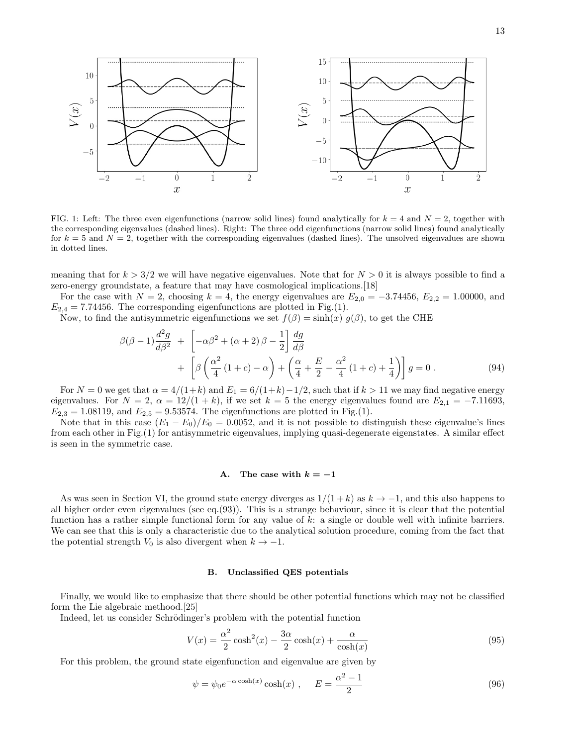

FIG. 1: Left: The three even eigenfunctions (narrow solid lines) found analytically for  $k = 4$  and  $N = 2$ , together with the corresponding eigenvalues (dashed lines). Right: The three odd eigenfunctions (narrow solid lines) found analytically for  $k = 5$  and  $N = 2$ , together with the corresponding eigenvalues (dashed lines). The unsolved eigenvalues are shown in dotted lines.

meaning that for  $k > 3/2$  we will have negative eigenvalues. Note that for  $N > 0$  it is always possible to find a zero-energy groundstate, a feature that may have cosmological implications.[18]

For the case with  $N = 2$ , choosing  $k = 4$ , the energy eigenvalues are  $E_{2,0} = -3.74456$ ,  $E_{2,2} = 1.00000$ , and  $E_{2,4} = 7.74456$ . The corresponding eigenfunctions are plotted in Fig.(1).

Now, to find the antisymmetric eigenfunctions we set  $f(\beta) = \sinh(x) g(\beta)$ , to get the CHE

$$
\beta(\beta - 1)\frac{d^2g}{d\beta^2} + \left[ -\alpha\beta^2 + (\alpha + 2)\beta - \frac{1}{2} \right] \frac{dg}{d\beta} \n+ \left[ \beta\left(\frac{\alpha^2}{4}(1+c) - \alpha\right) + \left(\frac{\alpha}{4} + \frac{E}{2} - \frac{\alpha^2}{4}(1+c) + \frac{1}{4} \right) \right] g = 0.
$$
\n(94)

For  $N = 0$  we get that  $\alpha = 4/(1+k)$  and  $E_1 = 6/(1+k) - 1/2$ , such that if  $k > 11$  we may find negative energy eigenvalues. For  $N = 2$ ,  $\alpha = 12/(1 + k)$ , if we set  $k = 5$  the energy eigenvalues found are  $E_{2,1} = -7.11693$ ,  $E_{2,3} = 1.08119$ , and  $E_{2,5} = 9.53574$ . The eigenfunctions are plotted in Fig.(1).

Note that in this case  $(E_1 - E_0)/E_0 = 0.0052$ , and it is not possible to distinguish these eigenvalue's lines from each other in Fig.(1) for antisymmetric eigenvalues, implying quasi-degenerate eigenstates. A similar effect is seen in the symmetric case.

### A. The case with  $k = -1$

As was seen in Section VI, the ground state energy diverges as  $1/(1+k)$  as  $k \to -1$ , and this also happens to all higher order even eigenvalues (see eq.(93)). This is a strange behaviour, since it is clear that the potential function has a rather simple functional form for any value of  $k$ : a single or double well with infinite barriers. We can see that this is only a characteristic due to the analytical solution procedure, coming from the fact that the potential strength  $V_0$  is also divergent when  $k \to -1$ .

# B. Unclassified QES potentials

Finally, we would like to emphasize that there should be other potential functions which may not be classified form the Lie algebraic methood.[25]

Indeed, let us consider Schrödinger's problem with the potential function

$$
V(x) = \frac{\alpha^2}{2}\cosh^2(x) - \frac{3\alpha}{2}\cosh(x) + \frac{\alpha}{\cosh(x)}
$$
(95)

For this problem, the ground state eigenfunction and eigenvalue are given by

$$
\psi = \psi_0 e^{-\alpha \cosh(x)} \cosh(x) , \qquad E = \frac{\alpha^2 - 1}{2} \tag{96}
$$